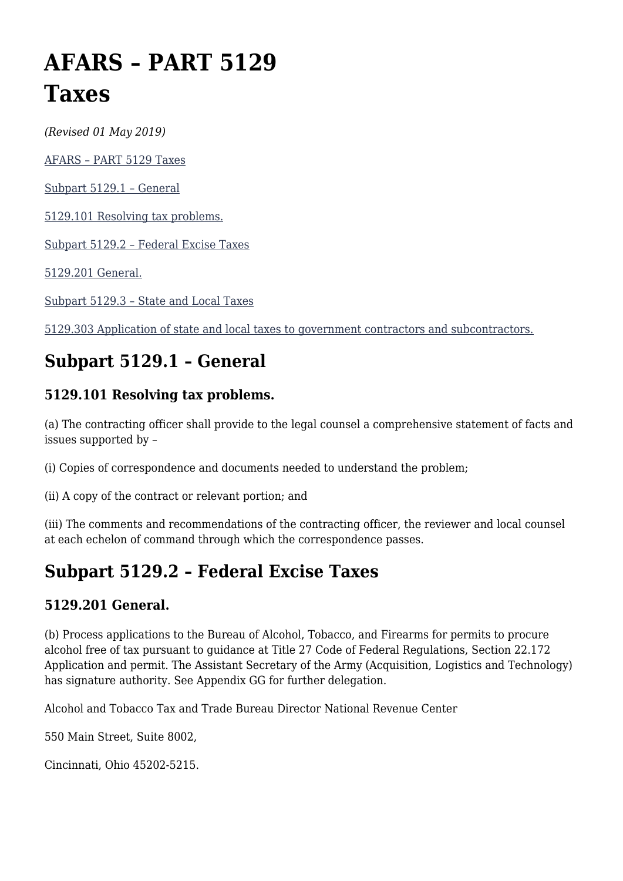# **AFARS – PART 5129 Taxes**

*(Revised 01 May 2019)*

[AFARS – PART 5129 Taxes](#page--1-0)

[Subpart 5129.1 – General](#page--1-0)

[5129.101 Resolving tax problems.](#page--1-0)

[Subpart 5129.2 – Federal Excise Taxes](#page--1-0)

[5129.201 General.](#page--1-0)

[Subpart 5129.3 – State and Local Taxes](#page--1-0)

[5129.303 Application of state and local taxes to government contractors and subcontractors.](#page--1-0)

# **Subpart 5129.1 – General**

## **5129.101 Resolving tax problems.**

(a) The contracting officer shall provide to the legal counsel a comprehensive statement of facts and issues supported by –

(i) Copies of correspondence and documents needed to understand the problem;

(ii) A copy of the contract or relevant portion; and

(iii) The comments and recommendations of the contracting officer, the reviewer and local counsel at each echelon of command through which the correspondence passes.

## **Subpart 5129.2 – Federal Excise Taxes**

#### **5129.201 General.**

(b) Process applications to the Bureau of Alcohol, Tobacco, and Firearms for permits to procure alcohol free of tax pursuant to guidance at Title 27 Code of Federal Regulations, Section 22.172 Application and permit. The Assistant Secretary of the Army (Acquisition, Logistics and Technology) has signature authority. See Appendix GG for further delegation.

Alcohol and Tobacco Tax and Trade Bureau Director National Revenue Center

550 Main Street, Suite 8002,

Cincinnati, Ohio 45202-5215.